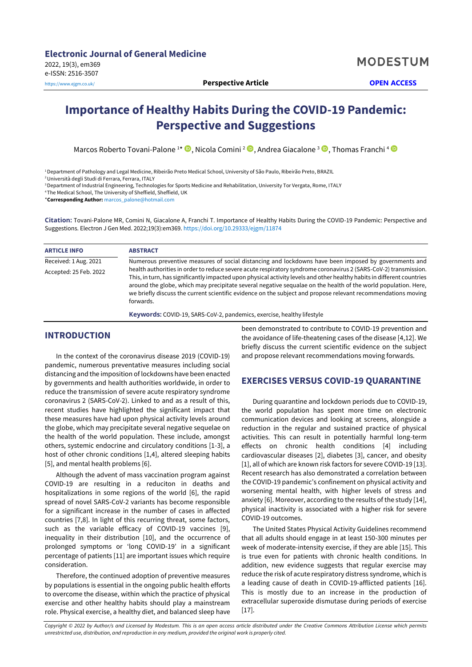# **Importance of Healthy Habits During the COVID-19 Pandemic: Perspective and Suggestions**

Marcos Roberto Tovani-Palone 1\*  $\mathbf{\Theta},$  Nicola Comini <sup>2</sup>  $\mathbf{\Theta},$  Andrea Giacalone <sup>3</sup>  $\mathbf{\Theta},$  Thomas Franchi <sup>4</sup>

<sup>1</sup>Department of Pathology and Legal Medicine, Ribeirão Preto Medical School, University of São Paulo, Ribeirão Preto, BRAZIL

<sup>2</sup>Università degli Studi di Ferrara, Ferrara, ITALY

<sup>3</sup> Department of Industrial Engineering, Technologies for Sports Medicine and Rehabilitation, University Tor Vergata, Rome, ITALY

<sup>4</sup>The Medical School, The University of Sheffield, Sheffield, UK

\***Corresponding Author:** [marcos\\_palone@hotmail.com](mailto:marcos_palone@hotmail.com)

**Citation:** Tovani-Palone MR, Comini N, Giacalone A, Franchi T. Importance of Healthy Habits During the COVID-19 Pandemic: Perspective and Suggestions. Electron J Gen Med. 2022;19(3):em369. <https://doi.org/10.29333/ejgm/11874>

| <b>ARTICLE INFO</b>    | <b>ABSTRACT</b>                                                                                                                                                                                                                                                                                                                                                                                                                                                                             |
|------------------------|---------------------------------------------------------------------------------------------------------------------------------------------------------------------------------------------------------------------------------------------------------------------------------------------------------------------------------------------------------------------------------------------------------------------------------------------------------------------------------------------|
| Received: 1 Aug. 2021  | Numerous preventive measures of social distancing and lockdowns have been imposed by governments and                                                                                                                                                                                                                                                                                                                                                                                        |
| Accepted: 25 Feb. 2022 | health authorities in order to reduce severe acute respiratory syndrome coronavirus 2 (SARS-CoV-2) transmission.<br>This, in turn, has significantly impacted upon physical activity levels and other healthy habits in different countries<br>around the globe, which may precipitate several negative sequalae on the health of the world population. Here,<br>we briefly discuss the current scientific evidence on the subject and propose relevant recommendations moving<br>forwards. |

**Keywords:** COVID-19, SARS-CoV-2, pandemics, exercise, healthy lifestyle

## **INTRODUCTION**

In the context of the coronavirus disease 2019 (COVID-19) pandemic, numerous preventative measures including social distancing and the imposition of lockdowns have been enacted by governments and health authorities worldwide, in order to reduce the transmission of severe acute respiratory syndrome coronavirus 2 (SARS-CoV-2). Linked to and as a result of this, recent studies have highlighted the significant impact that these measures have had upon physical activity levels around the globe, which may precipitate several negative sequelae on the health of the world population. These include, amongst others, systemic endocrine and circulatory conditions [1-3], a host of other chronic conditions [1,4], altered sleeping habits [5], and mental health problems [6].

Although the advent of mass vaccination program against COVID-19 are resulting in a reduciton in deaths and hospitalizations in some regions of the world [6], the rapid spread of novel SARS-CoV-2 variants has become responsible for a significant increase in the number of cases in affected countries [7,8]. In light of this recurring threat, some factors, such as the variable efficacy of COVID-19 vaccines [9], inequality in their distribution [10], and the occurrence of prolonged symptoms or 'long COVID-19' in a significant percentage of patients [11] are important issues which require consideration.

Therefore, the continued adoption of preventive measures by populations is essential in the ongoing public health efforts to overcome the disease, within which the practice of physical exercise and other healthy habits should play a mainstream role. Physical exercise, a healthy diet, and balanced sleep have

been demonstrated to contribute to COVID-19 prevention and the avoidance of life-theatening cases of the disease [4,12]. We briefly discuss the current scientific evidence on the subject and propose relevant recommendations moving forwards.

## **EXERCISES VERSUS COVID-19 QUARANTINE**

During quarantine and lockdown periods due to COVID-19, the world population has spent more time on electronic communication devices and looking at screens, alongside a reduction in the regular and sustained practice of physical activities. This can result in potentially harmful long-term effects on chronic health conditions [4] including cardiovascular diseases [2], diabetes [3], cancer, and obesity [1], all of which are known risk factors for severe COVID-19 [13]. Recent research has also demonstrated a correlation between the COVID-19 pandemic's confinement on physical activity and worsening mental health, with higher levels of stress and anxiety [6]. Moreover, according to the results of the study [14], physical inactivity is associated with a higher risk for severe COVID-19 outcomes.

The United States Physical Activity Guidelines recommend that all adults should engage in at least 150-300 minutes per week of moderate-intensity exercise, if they are able [15]. This is true even for patients with chronic health conditions. In addition, new evidence suggests that regular exercise may reduce the risk of acute respiratory distress syndrome, which is a leading cause of death in COVID-19-afflicted patients [16]. This is mostly due to an increase in the production of extracellular superoxide dismutase during periods of exercise  $[17]$ .

*Copyright © 2022 by Author/s and Licensed by Modestum. This is an open access article distributed under the Creative Commons Attribution License which permits unrestricted use, distribution, and reproduction in any medium, provided the original work is properly cited.*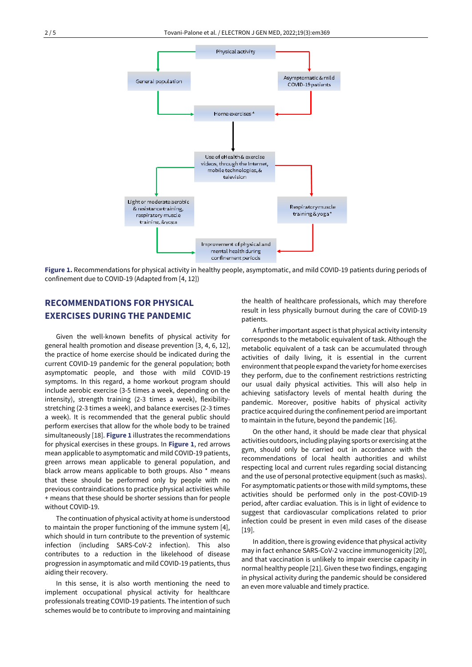

**Figure 1.** Recommendations for physical activity in healthy people, asymptomatic, and mild COVID-19 patients during periods of confinement due to COVID-19 (Adapted from [4, 12])

## **RECOMMENDATIONS FOR PHYSICAL EXERCISES DURING THE PANDEMIC**

Given the well-known benefits of physical activity for general health promotion and disease prevention [3, 4, 6, 12], the practice of home exercise should be indicated during the current COVID-19 pandemic for the general population; both asymptomatic people, and those with mild COVID-19 symptoms. In this regard, a home workout program should include aerobic exercise (3-5 times a week, depending on the intensity), strength training (2-3 times a week), flexibilitystretching (2-3 times a week), and balance exercises (2-3 times a week). It is recommended that the general public should perform exercises that allow for the whole body to be trained simultaneously [18]. **Figure 1** illustrates the recommendations for physical exercises in these groups. In **Figure 1**, red arrows mean applicable to asymptomatic and mild COVID-19 patients, green arrows mean applicable to general population, and black arrow means applicable to both groups. Also \* means that these should be performed only by people with no previous contraindications to practice physical activities while + means that these should be shorter sessions than for people without COVID-19.

The continuation of physical activity at home is understood to maintain the proper functioning of the immune system [4], which should in turn contribute to the prevention of systemic infection (including SARS-CoV-2 infection). This also contributes to a reduction in the likelehood of disease progression in asymptomatic and mild COVID-19 patients, thus aiding their recovery.

In this sense, it is also worth mentioning the need to implement occupational physical activity for healthcare professionals treating COVID-19 patients. The intention of such schemes would be to contribute to improving and maintaining the health of healthcare professionals, which may therefore result in less physically burnout during the care of COVID-19 patients.

A further important aspect is that physical activity intensity corresponds to the metabolic equivalent of task. Although the metabolic equivalent of a task can be accumulated through activities of daily living, it is essential in the current environment that people expand the variety for home exercises they perform, due to the confinement restrictions restricting our usual daily physical activities. This will also help in achieving satisfactory levels of mental health during the pandemic. Moreover, positive habits of physical activity practice acquired during the confinement period are important to maintain in the future, beyond the pandemic [16].

On the other hand, it should be made clear that physical activities outdoors, including playing sports or exercising at the gym, should only be carried out in accordance with the recommendations of local health authorities and whilst respecting local and current rules regarding social distancing and the use of personal protective equipment (such as masks). For asymptomatic patients or those with mild symptoms, these activities should be performed only in the post-COVID-19 period, after cardiac evaluation. This is in light of evidence to suggest that cardiovascular complications related to prior infection could be present in even mild cases of the disease  $[19]$ .

In addition, there is growing evidence that physical activity may in fact enhance SARS-CoV-2 vaccine immunogenicity [20], and that vaccination is unlikely to impair exercise capacity in normal healthy people [21]. Given these two findings, engaging in physical activity during the pandemic should be considered an even more valuable and timely practice.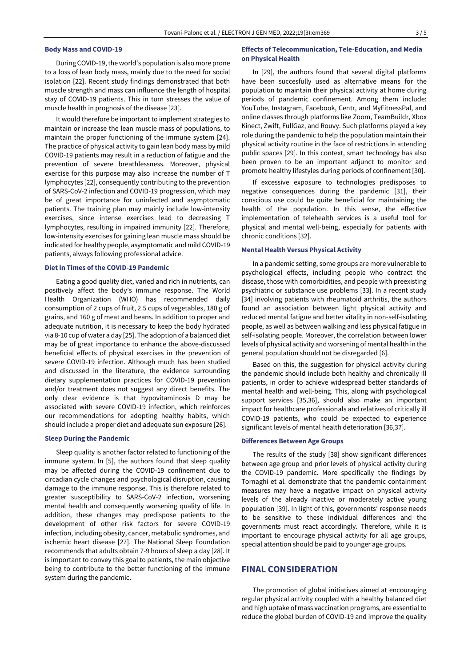#### **Body Mass and COVID-19**

During COVID-19, the world's population is also more prone to a loss of lean body mass, mainly due to the need for social isolation [22]. Recent study findings demonstrated that both muscle strength and mass can influence the length of hospital stay of COVID-19 patients. This in turn stresses the value of muscle health in prognosis of the disease [23].

It would therefore be important to implement strategies to maintain or increase the lean muscle mass of populations, to maintain the proper functioning of the immune system [24]. The practice of physical activity to gain lean body mass by mild COVID-19 patients may result in a reduction of fatigue and the prevention of severe breathlessness. Moreover, physical exercise for this purpose may also increase the number of T lymphocytes [22], consequently contributing to the prevention of SARS-CoV-2 infection and COVID-19 progression, which may be of great importance for uninfected and asymptomatic patients. The training plan may mainly include low-intensity exercises, since intense exercises lead to decreasing T lymphocytes, resulting in impaired immunity [22]. Therefore, low-intensity exercises for gaining lean muscle mass should be indicated for healthy people, asymptomatic and mild COVID-19 patients, always following professional advice.

#### **Diet in Times of the COVID-19 Pandemic**

Eating a good quality diet, varied and rich in nutrients, can positively affect the body's immune response. The World Health Organization (WHO) has recommended daily consumption of 2 cups of fruit, 2.5 cups of vegetables, 180 g of grains, and 160 g of meat and beans. In addition to proper and adequate nutrition, it is necessary to keep the body hydrated via 8-10 cup of water a day [25]. The adoption of a balanced diet may be of great importance to enhance the above-discussed beneficial effects of physical exercises in the prevention of severe COVID-19 infection. Although much has been studied and discussed in the literature, the evidence surrounding dietary supplementation practices for COVID-19 prevention and/or treatment does not suggest any direct benefits. The only clear evidence is that hypovitaminosis D may be associated with severe COVID-19 infection, which reinforces our recommendations for adopting healthy habits, which should include a proper diet and adequate sun exposure [26].

#### **Sleep During the Pandemic**

Sleep quality is another factor related to functioning of the immune system. In [5], the authors found that sleep quality may be affected during the COVID-19 confinement due to circadian cycle changes and psychological disruption, causing damage to the immune response. This is therefore related to greater susceptibility to SARS-CoV-2 infection, worsening mental health and consequently worsening quality of life. In addition, these changes may predispose patients to the development of other risk factors for severe COVID-19 infection, including obesity, cancer, metabolic syndromes, and ischemic heart disease [27]. The National Sleep Foundation recommends that adults obtain 7-9 hours of sleep a day [28]. It is important to convey this goal to patients, the main objective being to contribute to the better functioning of the immune system during the pandemic.

### **Effects of Telecommunication, Tele-Education, and Media on Physical Health**

In [29], the authors found that several digital platforms have been succesfully used as alternative means for the population to maintain their physical activity at home during periods of pandemic confinement. Among them include: YouTube, Instagram, Facebook, Centr, and MyFitnessPal, and online classes through platforms like Zoom, TeamBuildr, Xbox Kinect, Zwift, FullGaz, and Rouvy. Such platforms played a key role during the pandemic to help the population maintain their physical activity routine in the face of restrictions in attending public spaces [29]. In this context, smart technology has also been proven to be an important adjunct to monitor and promote healthy lifestyles during periods of confinement [30].

If excessive exposure to technologies predisposes to negative consequences during the pandemic [31], their conscious use could be quite beneficial for maintaining the health of the population. In this sense, the effective implementation of telehealth services is a useful tool for physical and mental well-being, especially for patients with chronic conditions [32].

#### **Mental Health Versus Physical Activity**

In a pandemic setting, some groups are more vulnerable to psychological effects, including people who contract the disease, those with comorbidities, and people with preexisting psychiatric or substance use problems [33]. In a recent study [34] involving patients with rheumatoid arthritis, the authors found an association between light physical activity and reduced mental fatigue and better vitality in non-self-isolating people, as well as between walking and less physical fatigue in self-isolating people. Moreover, the correlation between lower levels of physical activity and worsening of mental health in the general population should not be disregarded [6].

Based on this, the suggestion for physical activity during the pandemic should include both healthy and chronically ill patients, in order to achieve widespread better standards of mental health and well-being. This, along with psychological support services [35,36], should also make an important impact for healthcare professionals and relatives of critically ill COVID-19 patients, who could be expected to experience significant levels of mental health deterioration [36,37].

#### **Differences Between Age Groups**

The results of the study [38] show significant differences between age group and prior levels of physical activity during the COVID-19 pandemic. More specifically the findings by Tornaghi et al. demonstrate that the pandemic containment measures may have a negative impact on physical activity levels of the already inactive or moderately active young population [39]. In light of this, governments' response needs to be sensitive to these individual differences and the governments must react accordingly. Therefore, while it is important to encourage physical activity for all age groups, special attention should be paid to younger age groups.

## **FINAL CONSIDERATION**

The promotion of global initiatives aimed at encouraging regular physical activity coupled with a healthy balanced diet and high uptake of mass vaccination programs, are essential to reduce the global burden of COVID-19 and improve the quality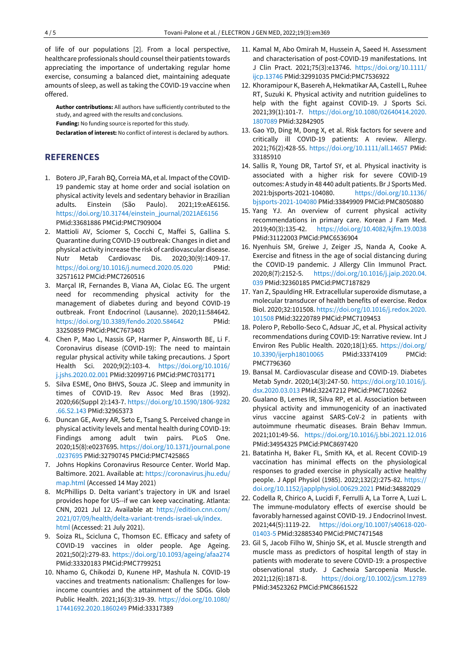of life of our populations [2]. From a local perspective, healthcare professionals should counsel their patients towards appreciating the importance of undertaking regular home exercise, consuming a balanced diet, maintaining adequate amounts of sleep, as well as taking the COVID-19 vaccine when offered.

**Author contributions:** All authors have sufficiently contributed to the study, and agreed with the results and conclusions.

**Funding:** No funding source is reported for this study.

**Declaration of interest:** No conflict of interest is declared by authors.

## **REFERENCES**

- 1. Botero JP, Farah BQ, Correia MA, et al. Impact of the COVID-19 pandemic stay at home order and social isolation on physical activity levels and sedentary behavior in Brazilian adults. Einstein (São Paulo). 2021;19:eAE6156. [https://doi.org/10.31744/einstein\\_journal/2021AE6156](https://doi.org/10.31744/einstein_journal/2021AE6156) PMid:33681886 PMCid:PMC7909004
- 2. Mattioli AV, Sciomer S, Cocchi C, Maffei S, Gallina S. Quarantine during COVID-19 outbreak: Changes in diet and physical activity increase the risk of cardiovascular disease. Nutr Metab Cardiovasc Dis. 2020;30(9):1409-17. <https://doi.org/10.1016/j.numecd.2020.05.020> PMid: 32571612 PMCid:PMC7260516
- 3. Marçal IR, Fernandes B, Viana AA, Ciolac EG. The urgent need for recommending physical activity for the management of diabetes during and beyond COVID-19 outbreak. Front Endocrinol (Lausanne). 2020;11:584642. <https://doi.org/10.3389/fendo.2020.584642> PMid: 33250859 PMCid:PMC7673403
- 4. Chen P, Mao L, Nassis GP, Harmer P, Ainsworth BE, Li F. Coronavirus disease (COVID-19): The need to maintain regular physical activity while taking precautions. J Sport Health Sci. 2020;9(2):103-4. [https://doi.org/10.1016/](https://doi.org/10.1016/j.jshs.2020.02.001) [j.jshs.2020.02.001](https://doi.org/10.1016/j.jshs.2020.02.001) PMid:32099716 PMCid:PMC7031771
- 5. Silva ESME, Ono BHVS, Souza JC. Sleep and immunity in times of COVID-19. Rev Assoc Med Bras (1992). 2020;66(Suppl 2):143-7. [https://doi.org/10.1590/1806-9282](https://doi.org/10.1590/1806-9282.66.S2.143) [.66.S2.143](https://doi.org/10.1590/1806-9282.66.S2.143) PMid:32965373
- 6. Duncan GE, Avery AR, Seto E, Tsang S. Perceived change in physical activity levels and mental health during COVID-19: Findings among adult twin pairs. PLoS One. 2020;15(8):e0237695[. https://doi.org/10.1371/journal.pone](https://doi.org/10.1371/journal.pone.0237695) [.0237695](https://doi.org/10.1371/journal.pone.0237695) PMid:32790745 PMCid:PMC7425865
- 7. Johns Hopkins Coronavirus Resource Center. World Map. Baltimore. 2021. Available at[: https://coronavirus.jhu.edu/](https://coronavirus.jhu.edu/map.html) [map.html](https://coronavirus.jhu.edu/map.html) (Accessed 14 May 2021)
- 8. McPhillips D. Delta variant's trajectory in UK and Israel provides hope for US--if we can keep vaccinating. Atlanta: CNN, 2021 Jul 12. Available at: [https://edition.cnn.com/](https://edition.cnn.com/2021/07/09/health/delta-variant-trends-israel-uk/index.html) [2021/07/09/health/delta-variant-trends-israel-uk/index.](https://edition.cnn.com/2021/07/09/health/delta-variant-trends-israel-uk/index.html) [html](https://edition.cnn.com/2021/07/09/health/delta-variant-trends-israel-uk/index.html) (Accessed: 21 July 2021).
- 9. Soiza RL, Scicluna C, Thomson EC. Efficacy and safety of COVID-19 vaccines in older people. Age Ageing. 2021;50(2):279-83.<https://doi.org/10.1093/ageing/afaa274> PMid:33320183 PMCid:PMC7799251
- 10. Nhamo G, Chikodzi D, Kunene HP, Mashula N. COVID-19 vaccines and treatments nationalism: Challenges for lowincome countries and the attainment of the SDGs. Glob Public Health. 2021;16(3):319-39. [https://doi.org/10.1080/](https://doi.org/10.1080/17441692.2020.1860249) [17441692.2020.1860249](https://doi.org/10.1080/17441692.2020.1860249) PMid:33317389
- 11. Kamal M, Abo Omirah M, Hussein A, Saeed H. Assessment and characterisation of post-COVID-19 manifestations. Int J Clin Pract. 2021;75(3):e13746. [https://doi.org/10.1111/](https://doi.org/10.1111/ijcp.13746) [ijcp.13746](https://doi.org/10.1111/ijcp.13746) PMid:32991035 PMCid:PMC7536922
- 12. Khoramipour K, Basereh A, Hekmatikar AA, Castell L, Ruhee RT, Suzuki K. Physical activity and nutrition guidelines to help with the fight against COVID-19. J Sports Sci. 2021;39(1):101-7. [https://doi.org/10.1080/02640414.2020.](https://doi.org/10.1080/02640414.2020.1807089) [1807089](https://doi.org/10.1080/02640414.2020.1807089) PMid:32842905
- 13. Gao YD, Ding M, Dong X, et al. Risk factors for severe and critically ill COVID-19 patients: A review. Allergy. 2021;76(2):428-55.<https://doi.org/10.1111/all.14657> PMid: 33185910
- 14. Sallis R, Young DR, Tartof SY, et al. Physical inactivity is associated with a higher risk for severe COVID-19 outcomes: A study in 48 440 adult patients. Br J Sports Med. 2021:bjsports-2021-104080. [https://doi.org/10.1136/](https://doi.org/10.1136/bjsports-2021-104080) [bjsports-2021-104080](https://doi.org/10.1136/bjsports-2021-104080) PMid:33849909 PMCid:PMC8050880
- 15. Yang YJ. An overview of current physical activity recommendations in primary care. Korean J Fam Med. 2019;40(3):135-42. <https://doi.org/10.4082/kjfm.19.0038> PMid:31122003 PMCid:PMC6536904
- 16. Nyenhuis SM, Greiwe J, Zeiger JS, Nanda A, Cooke A. Exercise and fitness in the age of social distancing during the COVID-19 pandemic. J Allergy Clin Immunol Pract. 2020;8(7):2152-5. [https://doi.org/10.1016/j.jaip.2020.04.](https://doi.org/10.1016/j.jaip.2020.04.039) [039](https://doi.org/10.1016/j.jaip.2020.04.039) PMid:32360185 PMCid:PMC7187829
- 17. Yan Z, Spaulding HR. Extracellular superoxide dismutase, a molecular transducer of health benefits of exercise. Redox Biol. 2020;32:101508. [https://doi.org/10.1016/j.redox.2020.](https://doi.org/10.1016/j.redox.2020.101508) [101508](https://doi.org/10.1016/j.redox.2020.101508) PMid:32220789 PMCid:PMC7109453
- 18. Polero P, Rebollo-Seco C, Adsuar JC, et al. Physical activity recommendations during COVID-19: Narrative review. Int J Environ Res Public Health. 2020;18(1):65. [https://doi.org/](https://doi.org/10.3390/ijerph18010065) [10.3390/ijerph18010065](https://doi.org/10.3390/ijerph18010065) PMid:33374109 PMCid: PMC7796360
- 19. Bansal M. Cardiovascular disease and COVID-19. Diabetes Metab Syndr. 2020;14(3):247-50. [https://doi.org/10.1016/j.](https://doi.org/10.1016/j.dsx.2020.03.013) [dsx.2020.03.013](https://doi.org/10.1016/j.dsx.2020.03.013) PMid:32247212 PMCid:PMC7102662
- 20. Gualano B, Lemes IR, Silva RP, et al. Association between physical activity and immunogenicity of an inactivated virus vaccine against SARS-CoV-2 in patients with autoimmune rheumatic diseases. Brain Behav Immun. 2021;101:49-56. <https://doi.org/10.1016/j.bbi.2021.12.016> PMid:34954325 PMCid:PMC8697420
- 21. Batatinha H, Baker FL, Smith KA, et al. Recent COVID-19 vaccination has minimal effects on the physiological responses to graded exercise in physically active healthy people. J Appl Physiol (1985). 2022;132(2):275-82. [https://](https://doi.org/10.1152/japplphysiol.00629.2021) [doi.org/10.1152/japplphysiol.00629.2021](https://doi.org/10.1152/japplphysiol.00629.2021) PMid:34882029
- 22. Codella R, Chirico A, Lucidi F, Ferrulli A, La Torre A, Luzi L. The immune-modulatory effects of exercise should be favorably harnessed against COVID-19. J Endocrinol Invest. 2021;44(5):1119-22. [https://doi.org/10.1007/s40618-020-](https://doi.org/10.1007/s40618-020-01403-5) [01403-5](https://doi.org/10.1007/s40618-020-01403-5) PMid:32885340 PMCid:PMC7471548
- 23. Gil S, Jacob Filho W, Shinjo SK, et al. Muscle strength and muscle mass as predictors of hospital length of stay in patients with moderate to severe COVID-19: a prospective observational study. J Cachexia Sarcopenia Muscle. 2021;12(6):1871-8. <https://doi.org/10.1002/jcsm.12789> PMid:34523262 PMCid:PMC8661522